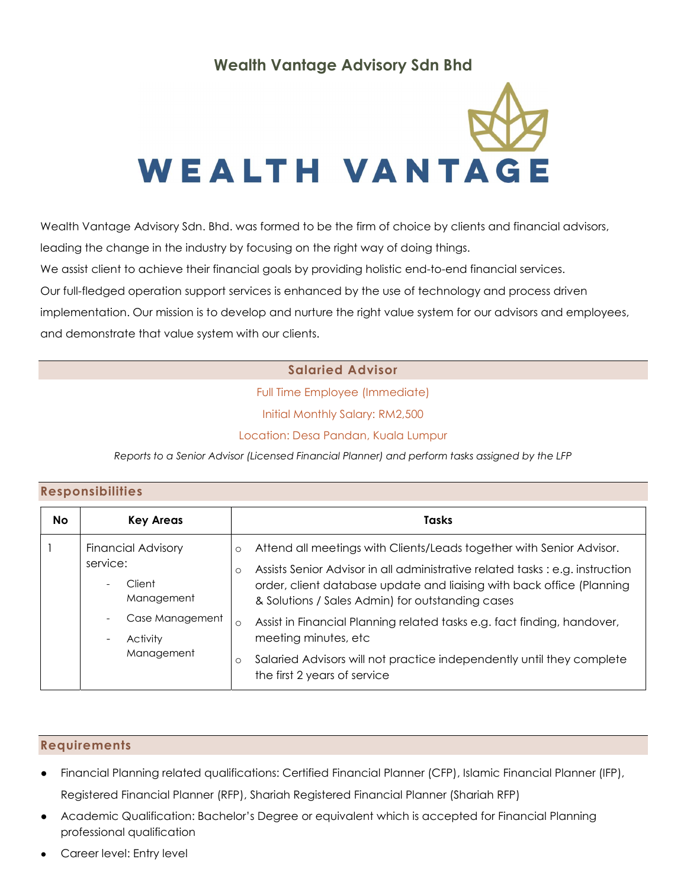# Wealth Vantage Advisory Sdn Bhd



Wealth Vantage Advisory Sdn. Bhd. was formed to be the firm of choice by clients and financial advisors,

leading the change in the industry by focusing on the right way of doing things.

We assist client to achieve their financial goals by providing holistic end-to-end financial services.

Our full-fledged operation support services is enhanced by the use of technology and process driven

implementation. Our mission is to develop and nurture the right value system for our advisors and employees, and demonstrate that value system with our clients.

### Salaried Advisor

Full Time Employee (Immediate)

Initial Monthly Salary: RM2,500

Location: Desa Pandan, Kuala Lumpur

Reports to a Senior Advisor (Licensed Financial Planner) and perform tasks assigned by the LFP

#### Responsibilities

| <b>No</b> | <b>Key Areas</b>                                                                                                                                                                               | <b>Tasks</b>                                                                                                                                                                                                                                                                                                                                                                                                                                                                                                                         |
|-----------|------------------------------------------------------------------------------------------------------------------------------------------------------------------------------------------------|--------------------------------------------------------------------------------------------------------------------------------------------------------------------------------------------------------------------------------------------------------------------------------------------------------------------------------------------------------------------------------------------------------------------------------------------------------------------------------------------------------------------------------------|
|           | <b>Financial Advisory</b><br>service:<br>Client<br>$\overline{\phantom{a}}$<br>Management<br>Case Management<br>$\overline{\phantom{a}}$<br>Activity<br>$\overline{\phantom{a}}$<br>Management | Attend all meetings with Clients/Leads together with Senior Advisor.<br>$\circ$<br>Assists Senior Advisor in all administrative related tasks : e.g. instruction<br>$\circ$<br>order, client database update and liaising with back office (Planning<br>& Solutions / Sales Admin) for outstanding cases<br>Assist in Financial Planning related tasks e.g. fact finding, handover,<br>$\circ$<br>meeting minutes, etc<br>Salaried Advisors will not practice independently until they complete<br>O<br>the first 2 years of service |

#### Requirements

- Financial Planning related qualifications: Certified Financial Planner (CFP), Islamic Financial Planner (IFP), Registered Financial Planner (RFP), Shariah Registered Financial Planner (Shariah RFP)
- Academic Qualification: Bachelor's Degree or equivalent which is accepted for Financial Planning professional qualification
- Career level: Entry level